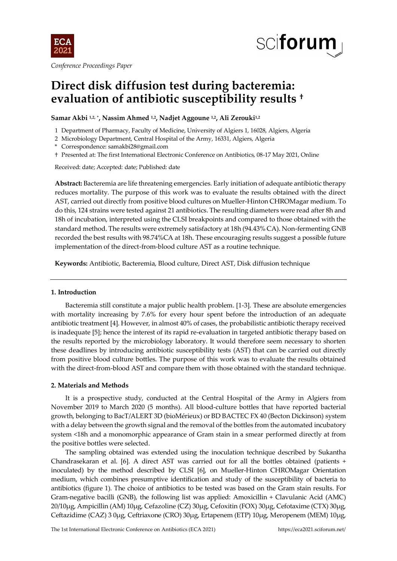

*Conference Proceedings Paper*



# **Direct disk diffusion test during bacteremia: evaluation of antibiotic susceptibility results †**

**Samar Akbi 1,2, \* , Nassim Ahmed 1,2, Nadjet Aggoune 1,2, Ali Zerouki1,2**

- 1 Department of Pharmacy, Faculty of Medicine, University of Algiers 1, 16028, Algiers, Algeria
- 2 Microbiology Department, Central Hospital of the Army, 16331, Algiers, Algeria
- \* Correspondence: samakbi28@gmail.com
- † Presented at: The first International Electronic Conference on Antibiotics, 08-17 May 2021, Online

Received: date; Accepted: date; Published: date

**Abstract:** Bacteremia are life threatening emergencies. Early initiation of adequate antibiotic therapy reduces mortality. The purpose of this work was to evaluate the results obtained with the direct AST, carried out directly from positive blood cultures on Mueller-Hinton CHROMagar medium. To do this, 124 strains were tested against 21 antibiotics. The resulting diameters were read after 8h and 18h of incubation, interpreted using the CLSI breakpoints and compared to those obtained with the standard method. The results were extremely satisfactory at 18h (94.43% CA). Non-fermenting GNB recorded the best results with 98.74%CA at 18h. These encouraging results suggest a possible future implementation of the direct-from-blood culture AST as a routine technique.

**Keywords:** Antibiotic, Bacteremia, Blood culture, Direct AST, Disk diffusion technique

## **1. Introduction**

Bacteremia still constitute a major public health problem. [1-3]. These are absolute emergencies with mortality increasing by 7.6% for every hour spent before the introduction of an adequate antibiotic treatment [4]. However, in almost 40% of cases, the probabilistic antibiotic therapy received is inadequate [5]; hence the interest of its rapid re-evaluation in targeted antibiotic therapy based on the results reported by the microbiology laboratory. It would therefore seem necessary to shorten these deadlines by introducing antibiotic susceptibility tests (AST) that can be carried out directly from positive blood culture bottles. The purpose of this work was to evaluate the results obtained with the direct-from-blood AST and compare them with those obtained with the standard technique.

## **2. Materials and Methods**

It is a prospective study, conducted at the Central Hospital of the Army in Algiers from November 2019 to March 2020 (5 months). All blood-culture bottles that have reported bacterial growth, belonging to BacT/ALERT 3D (bioMérieux) or BD BACTEC FX 40 (Becton Dickinson) system with a delay between the growth signal and the removal of the bottles from the automated incubatory system <18h and a monomorphic appearance of Gram stain in a smear performed directly at from the positive bottles were selected.

The sampling obtained was extended using the inoculation technique described by Sukantha Chandrasekaran et al. [6]. A direct AST was carried out for all the bottles obtained (patients + inoculated) by the method described by CLSI [6], on Mueller-Hinton CHROMagar Orientation medium, which combines presumptive identification and study of the susceptibility of bacteria to antibiotics (figure 1). The choice of antibiotics to be tested was based on the Gram stain results. For Gram-negative bacilli (GNB), the following list was applied: Amoxicillin + Clavulanic Acid (AMC) 20/10µg, Ampicillin (AM) 10µg, Cefazoline (CZ) 30μg, Cefoxitin (FOX) 30μg, Cefotaxime (CTX) 30µg, Ceftazidime (CAZ) 3 0µg, Ceftriaxone (CRO) 30µg, Ertapenem (ETP) 10µg, Meropenem (MEM) 10µg,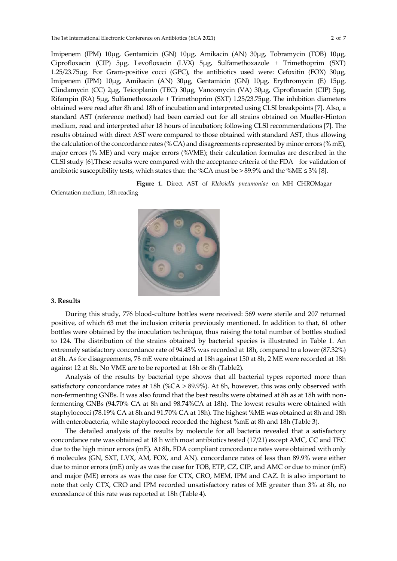Imipenem (IPM) 10µg, Gentamicin (GN) 10µg, Amikacin (AN) 30µg, Tobramycin (TOB) 10µg, Ciprofloxacin (CIP) 5µg, Levofloxacin (LVX) 5µg, Sulfamethoxazole + Trimethoprim (SXT) 1.25/23.75µg. For Gram-positive cocci (GPC), the antibiotics used were: Cefoxitin (FOX) 30µg, Imipenem (IPM) 10µg, Amikacin (AN) 30µg, Gentamicin (GN) 10µg, Erythromycin (E) 15µg, Clindamycin (CC) 2µg, Teicoplanin (TEC) 30µg, Vancomycin (VA) 30µg, Ciprofloxacin (CIP) 5µg, Rifampin (RA) 5µg, Sulfamethoxazole + Trimethoprim (SXT) 1.25/23.75µg. The inhibition diameters obtained were read after 8h and 18h of incubation and interpreted using CLSI breakpoints [7]. Also, a standard AST (reference method) had been carried out for all strains obtained on Mueller-Hinton medium, read and interpreted after 18 hours of incubation; following CLSI recommendations [7]. The results obtained with direct AST were compared to those obtained with standard AST, thus allowing the calculation of the concordance rates (% CA) and disagreements represented by minor errors (% mE), major errors (% ME) and very major errors (%VME); their calculation formulas are described in the CLSI study [6].These results were compared with the acceptance criteria of the FDA for validation of antibiotic susceptibility tests, which states that: the %CA must be > 89.9% and the %ME  $\leq$  3% [8].

 **Figure 1.** Direct AST of *Klebsiella pneumoniae* on MH CHROMagar

Orientation medium, 18h reading



#### **3. Results**

During this study, 776 blood-culture bottles were received: 569 were sterile and 207 returned positive, of which 63 met the inclusion criteria previously mentioned. In addition to that, 61 other bottles were obtained by the inoculation technique, thus raising the total number of bottles studied to 124. The distribution of the strains obtained by bacterial species is illustrated in Table 1. An extremely satisfactory concordance rate of 94.43% was recorded at 18h, compared to a lower (87.32%) at 8h. As for disagreements, 78 mE were obtained at 18h against 150 at 8h, 2 ME were recorded at 18h against 12 at 8h. No VME are to be reported at 18h or 8h (Table2).

Analysis of the results by bacterial type shows that all bacterial types reported more than satisfactory concordance rates at 18h (%CA > 89.9%). At 8h, however, this was only observed with non-fermenting GNBs. It was also found that the best results were obtained at 8h as at 18h with nonfermenting GNBs (94.70% CA at 8h and 98.74%CA at 18h). The lowest results were obtained with staphylococci (78.19% CA at 8h and 91.70% CA at 18h). The highest %ME was obtained at 8h and 18h with enterobacteria, while staphylococci recorded the highest %mE at 8h and 18h (Table 3).

The detailed analysis of the results by molecule for all bacteria revealed that a satisfactory concordance rate was obtained at 18 h with most antibiotics tested (17/21) except AMC, CC and TEC due to the high minor errors (mE). At 8h, FDA compliant concordance rates were obtained with only 6 molecules (GN, SXT, LVX, AM, FOX, and AN). concordance rates of less than 89.9% were either due to minor errors (mE) only as was the case for TOB, ETP, CZ, CIP, and AMC or due to minor (mE) and major (ME) errors as was the case for CTX, CRO, MEM, IPM and CAZ. It is also important to note that only CTX, CRO and IPM recorded unsatisfactory rates of ME greater than 3% at 8h, no exceedance of this rate was reported at 18h (Table 4).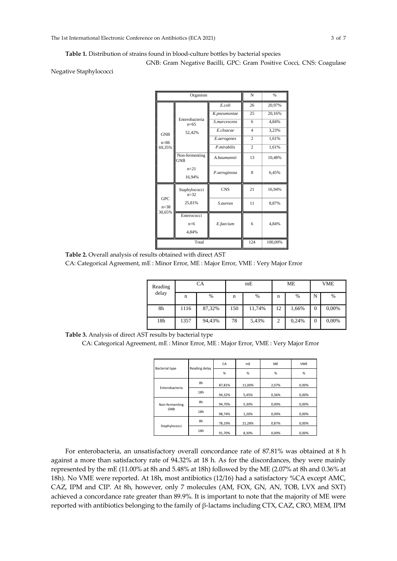#### **Table 1.** Distribution of strains found in blood-culture bottles by bacterial species

GNB: Gram Negative Bacilli, GPC: Gram Positive Cocci, CNS: Coagulase

Negative Staphylococci

|                                  | Organism                  |              | N              | $\frac{9}{6}$ |  |  |
|----------------------------------|---------------------------|--------------|----------------|---------------|--|--|
|                                  |                           | E.coli       | 26             | 20,97%        |  |  |
|                                  |                           | K.pneumoniae | 25             | 20,16%        |  |  |
|                                  | Enterobacteria<br>$n=65$  | S.marcescens | 6              | 4,84%         |  |  |
| <b>GNB</b>                       | 52,42%                    | E.cloacae    | $\overline{4}$ | 3,23%         |  |  |
| $n = 86$                         |                           | E.aerogenes  | $\overline{c}$ | 1,61%         |  |  |
| 69,35%                           |                           | P.mirabilis  | $\overline{c}$ | 1,61%         |  |  |
|                                  | Non-fermenting<br>GNB     | A.baumannii  | 13             | 10,48%        |  |  |
|                                  | $n=21$<br>16,94%          | P.aeruginosa | 8              | 6,45%         |  |  |
|                                  | Staphylococci<br>$n = 32$ | <b>CNS</b>   | 21             | 16,94%        |  |  |
| <b>GPC</b><br>$n = 38$<br>30,65% | 25,81%                    | S.aureus     | 11             | 8,87%         |  |  |
|                                  | Enterococci               |              |                |               |  |  |
|                                  | $n=6$<br>4,84%            | E.faecium    | 6              | 4,84%         |  |  |
|                                  | Total                     | 124          | 100,00%        |               |  |  |

**Table 2.** Overall analysis of results obtained with direct AST

CA: Categorical Agreement, mE : Minor Error, ME : Major Error, VME : Very Major Error

| Reading |      | CA     |             | mE     |    | ME            | <b>VME</b> |       |  |  |
|---------|------|--------|-------------|--------|----|---------------|------------|-------|--|--|
| delay   | n    | $\%$   | $\mathbf n$ | %      | n  | $\frac{0}{6}$ | N          | %     |  |  |
| 8h      | 1116 | 87,32% | 150         | 11,74% | 12 | 1,66%         | 0          | 0,00% |  |  |
| 18h     | 1357 | 94,43% | 78          | 5,43%  | 2  | 0,24%         | 0          | 0,00% |  |  |

**Table 3.** Analysis of direct AST results by bacterial type

CA: Categorical Agreement, mE : Minor Error, ME : Major Error, VME : Very Major Error

|                       |               | CA     | m <sub>E</sub> | ME    | <b>VME</b> |
|-----------------------|---------------|--------|----------------|-------|------------|
| <b>Bacterial type</b> | Reading delay | %      | %              | %     | %          |
| Enterobacteria        | 8h            | 87,81% | 11,00%         | 2.07% | 0.00%      |
|                       | 18h           | 94,32% | 5,45%          | 0,36% | 0,00%      |
| Non-fermenting        | 8h            | 94,70% | 5,30%          | 0,00% | 0.00%      |
| GNB                   | 18h           | 98,74% | 1,26%          | 0,00% | 0,00%      |
|                       | 8h            | 78,19% | 21,28%         | 0,87% | 0.00%      |
| Staphylococci         | 18h           | 91.70% | 8.30%          | 0.00% | 0.00%      |

For enterobacteria, an unsatisfactory overall concordance rate of 87.81% was obtained at 8 h against a more than satisfactory rate of 94.32% at 18 h. As for the discordances, they were mainly represented by the mE (11.00% at 8h and 5.48% at 18h) followed by the ME (2.07% at 8h and 0.36% at 18h). No VME were reported. At 18h, most antibiotics (12/16) had a satisfactory %CA except AMC, CAZ, IPM and CIP. At 8h, however, only 7 molecules (AM, FOX, GN, AN, TOB, LVX and SXT) achieved a concordance rate greater than 89.9%. It is important to note that the majority of ME were reported with antibiotics belonging to the family of β-lactams including CTX, CAZ, CRO, MEM, IPM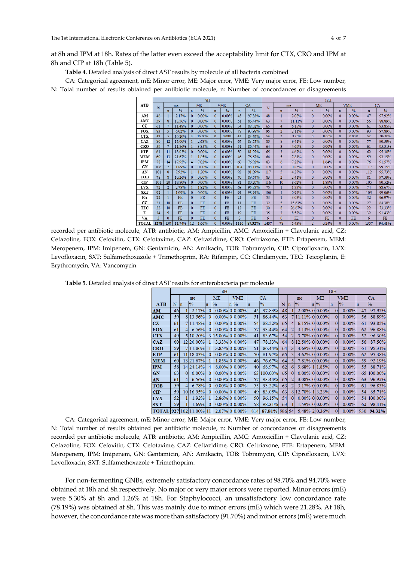**Table 4.** Detailed analysis of direct AST results by molecule of all bacteria combined

CA: Categorical agreement, mE: Minor error, ME: Major error, VME: Very major error, FE: Low number, N: Total number of results obtained per antibiotic molecule, n: Number of concordances or disagreements

|                                     |       | ŏН              |               |                 |           |              |               |              | 18H           |       |                |               |              |               |              |               |             |               |  |
|-------------------------------------|-------|-----------------|---------------|-----------------|-----------|--------------|---------------|--------------|---------------|-------|----------------|---------------|--------------|---------------|--------------|---------------|-------------|---------------|--|
| <b>ATB</b>                          | N     |                 | me            |                 | ME        |              | VME           |              | CA            | N     | me             |               | <b>ME</b>    |               |              | VME           | CA          |               |  |
|                                     |       | $\mathbf n$     | $\frac{0}{0}$ | $\mathbf n$     | $\%$      | $\mathbf{n}$ | $\frac{0}{6}$ | $\mathbf{n}$ | $\frac{0}{6}$ |       | $\mathbf{n}$   | $\frac{0}{0}$ | $\mathbf{n}$ | $\frac{0}{6}$ | $\mathbf{n}$ | $\frac{0}{6}$ | $\mathbf n$ | $\frac{9}{6}$ |  |
| AM                                  | 46    |                 | 2.17%         | 0               | 0.00%     | 0            | 0.00%         | 45           | 97.83%        | 48    |                | 208%          | $\Omega$     | 0.00%         | $\Omega$     | $0.00\%$      | 47          | 97 92%        |  |
| AMC                                 | 59    |                 | 13.56%        |                 | 0.00%     | $\Omega$     | 0.00%         | 51           | 86.44%        | 63    | H.             | 11.11%        | $\Omega$     | 0.00%         | $\Omega$     | $0.00\%$      | 56          | 88.89%        |  |
| CZ                                  | 61    |                 | 11.48%        |                 | 0.00%     | $\Omega$     | 0.00%         | 54           | 88.52%        | 65    | 4              | 6.15%         | $\Omega$     | 0.00%         | $\Omega$     | $0.00\%$      | 61          | 93.85%        |  |
| <b>FOX</b>                          | 83    |                 | 6.02%         |                 | 0.00%     | $\Omega$     | 0.00%         | 78           | 93.98%        | 95    | $\overline{2}$ | 2.11%         | $\Omega$     | 0.00%         | $\Omega$     | $0.00\%$      | 93          | 97.89%        |  |
| <b>CTX</b>                          | 49    |                 | 10.20%        |                 | 15.00%    | $\Omega$     | 0.00%         | 41           | 83.67%        | 54    | $\overline{2}$ | 3.70%         | $\Omega$     | 0.00%         | $\Omega$     | 0.00%         | 52          | 96.30%        |  |
| CAZ                                 | 80    | 12              | 15.00%        |                 | 2.63%     | $\Omega$     | 0.00%         | 67           | 83.75%        | 85    | 8              | 9.41%         | $\Omega$     | 0.00%         | $\Omega$     | $0.00\%$      | 77          | 90.59%        |  |
| CRO                                 | 59    |                 | 11.86%        |                 | 3.85%     | $\Omega$     | 0.00%         | 51           | 86.44%        | 64    | 3              | 4.69%         | $\Omega$     | 0.00%         | $\Omega$     | $0.00\%$      | 61          | 95.31%        |  |
| <b>ETP</b>                          | 61    |                 | 18.03%        |                 | 0.00%     | $\Omega$     | $0.00\%$      | 50           | 81.97%        | 65    | 3              | 4.62%         | $\Omega$     | 0.00%         | $\Omega$     | $0.00\%$      | 62          | 95.38%        |  |
| <b>MEM</b>                          | 60    | 13              | 21.67%        |                 | 1.85%     | $\Omega$     | $0.00\%$      | 46           | 76.67%        | 64    | 5              | 7.81%         | $\Omega$     | 0.00%         | $\Omega$     | $0.00\%$      | 59          | 92.19%        |  |
| $\mathbf{I}^{\mathbf{P}}\mathbf{M}$ | 78    | 14              | 17.95%        |                 | 7.02%     | $\Omega$     | $0.00\%$      | 60           | 76.92%        | 83    | 6              | 7.23%         |              | 1.64%         | $\Omega$     | $0.00\%$      | 76          | 91.57%        |  |
| GN                                  | 106   |                 | 1.89%         |                 | $0.00\%$  | $\Omega$     | $0.00\%$      | 104          | 98.11%        | 118   |                | 0.85%         | 0            | 0.00%         | $\Omega$     | 0.00%         | 117         | 99.15%        |  |
| AN                                  | 101   | 8               | 7.92%         |                 | 1.20%     | $\Omega$     | $0.00\%$      | 92           | 91.09%        | 117   | 5              | 4.27%         | 0            | $0.00\%$      | $\Omega$     | $0.00\%$      | 112         | 95.73%        |  |
| TOB                                 | 78    |                 | 10.26%        | 0               | $0.00\%$  | $\Omega$     | $0.00\%$      | 70           | 89.74%        | 83    | $\overline{2}$ | 2.41%         | 0            | 0.00%         | $\Omega$     | $0.00\%$      | 81          | 97.59%        |  |
| CP                                  | 101   | 20              | 19.80%        | $\Omega$        | $0.00\%$  | $\Omega$     | $0.00\%$      | 81           | 80.20%        | 116   | 10             | 8.62%         |              | 1.89%         | $\Omega$     | $0.00\%$      | 105         | 90.52%        |  |
| <b>LVX</b>                          | 72    | $\overline{2}$  | 2.78%         |                 | 1.92%     | $\Omega$     | $0.00\%$      | 69           | 95.83%        | 75    |                | 1.33%         | $\mathbf{0}$ | 0.00%         | $\Omega$     | $0.00\%$      | 74          | 98.67%        |  |
| <b>SXT</b>                          | 92    |                 | 1.09%         | $\Omega$        | 0.00%     | $\Omega$     | $0.00\%$      | 91           | 98.91%        | 106   |                | 0.94%         | $\mathbf{0}$ | 0.00%         | $\mathbf{0}$ | $0.00\%$      | 105         | 99.06%        |  |
| RA                                  | 22    |                 | FE            | $\Omega$        | <b>FE</b> | $\mathbf{0}$ | FE            | 21           | <b>FE</b>     | 33    |                | 3.03%         | $\mathbf{0}$ | 0.00%         | $\Omega$     | $0.00\%$      | 32          | 96.97%        |  |
| cc                                  | 21    | 10 <sup>°</sup> | FE            | $\Omega$        | FE        | $\Omega$     | FE            | 11           | <b>FE</b>     | 32    | 5              | 15.63%        | $\mathbf{0}$ | 0.00%         | $\Omega$     | $0.00\%$      | 27          | 84.38%        |  |
| <b>TEC</b>                          | 22    | 10 <sup>°</sup> | FE            | $\Omega$        | FE        | $\Omega$     | FE            | 12           | FE            | 30    | 8              | 26.67%        | $\Omega$     | 0.00%         | $\Omega$     | $0.00\%$      | 22          | 73.33%        |  |
| E                                   | 24    | 5               | <b>FE</b>     | $\Omega$        | <b>FE</b> | $\Omega$     | FE            | 19           | <b>FE</b>     | 35    | 3              | 8.57%         | $\mathbf{0}$ | 0.00%         | $\Omega$     | $0.00\%$      | 32          | 91.43%        |  |
| VA                                  | ٩     |                 | FE            | $\Omega$        | FE        | $\Omega$     | FE            | 3            | FE            | 6     | $\Omega$       | FE            | $\Omega$     | FE            | $\Omega$     | FE            | 6           | FE            |  |
| <b>TOTAL</b>                        | 1979. | 150.            | 11/740%       | 12 <sub>2</sub> | 1660%     | $\Omega$     | 0.00%         | 1116         | 97220         | 1.427 | 79             | 5.420%        | o,           | 0.249%        | $\Omega$     | 0.00%         | 1257        | 0.4 429/.     |  |

recorded per antibiotic molecule, ATB: antibiotic, AM: Ampicillin, AMC: Amoxicillin + Clavulanic acid, CZ: Cefazoline, FOX: Cefoxitin, CTX: Cefotaxime, CAZ: Ceftazidime, CRO: Ceftriaxone, ETP: Ertapenem, MEM: Meropenem, IPM: Imipenem, GN: Gentamicin, AN: Amikacin, TOB: Tobramycin, CIP: Ciprofloxacin, LVX: Levofloxacin, SXT: Sulfamethoxazole + Trimethoprim, RA: Rifampin, CC: Clindamycin, TEC: Teicoplanin, E: Erythromycin, VA: Vancomycin

**Table 5.** Detailed analysis of direct AST results for enterobacteria per molecule

|            |     | 8H       |                |          |               |  |                   |     |               |                 |                 | 18H                   |  |                     |          |               |     |               |  |  |  |
|------------|-----|----------|----------------|----------|---------------|--|-------------------|-----|---------------|-----------------|-----------------|-----------------------|--|---------------------|----------|---------------|-----|---------------|--|--|--|
|            |     |          | me             |          | ME            |  | <b>VME</b>        | CA  |               | me              |                 | МE                    |  | <b>VME</b>          |          | CA            |     |               |  |  |  |
| <b>ATB</b> | N   | $\ln$    | $\frac{0}{6}$  | n        | $\frac{9}{6}$ |  | $\ln \sqrt{2}$    | ln  | $\frac{9}{6}$ | N               | $\ln$           | $\frac{9}{6}$         |  | $\ln \sqrt{2}$      | m        | $\frac{9}{6}$ | m   | $\frac{0}{6}$ |  |  |  |
| AМ         | 46  |          | 2.17%          | 0        |               |  | $0.00\%$  0 0.00% | 45  | 97.83%        | 48              |                 |                       |  | $2.08\%$ 0 0.00%    | $\Omega$ | $0.00\%$      | 47  | 97.92%        |  |  |  |
| AMC        | 59  |          | 8 13.56%       | 0        |               |  | $0.00\%$  0 0.00% | 51  | 86.44%        | 63              |                 | 11.11% 0 0.00%        |  |                     | 0        | $0.00\%$      | 56  | 88.89%        |  |  |  |
| CZ         | 61  |          | 11.48%         | 0        |               |  | $0.00\%$  0 0.00% | 54  | 88.52%        | 65              | $\vert$         |                       |  | $6.15\%$ 0 0.00%    | 0        | $0.00\%$      | 61  | 93.85%        |  |  |  |
| <b>FOX</b> | 61  | 4        | 6.56%          | $\Omega$ |               |  | $0.00\%$  0 0.00% | 57  | 93.44%        | <b>64</b>       | $\overline{2}$  |                       |  | 3.13% 0 0.00%       | $\Omega$ | $0.00\%$      | 62  | 96.88%        |  |  |  |
| <b>CTX</b> | 49  |          | 5 10.20%       |          | 315.00%00.00% |  |                   | 41  | 83.67%        | 54              |                 |                       |  | $3.70\%$ 0 0.00%    | $\Omega$ | $0.00\%$      | 52  | 96.30%        |  |  |  |
| <b>CAZ</b> | 60  |          | 12 20.00%      |          | 3.33% 0 0.00% |  |                   | 47  | 78.33%        | <b>64</b>       |                 | $8 12.50\% 0 0.00\% $ |  |                     | 0        | $0.00\%$      | 56  | 87.50%        |  |  |  |
| <b>CRO</b> | 59  |          | $7 11.86\% $   |          |               |  | 3.85% 0 0.00%     | 51  | 86.44%        | 64              | $\vert 3 \vert$ |                       |  | 4.69% 0 0.00%       | $\Omega$ | $0.00\%$      | 61  | 95.31%        |  |  |  |
| <b>ETP</b> | 61  |          | 11 18.03%      |          |               |  | $0.00\%$  0 0.00% | 50  | 81.97%        | 65I             | 3               |                       |  | $4.62\%$ 0 0.00%    | 0        | $0.00\%$      | 62  | 95.38%        |  |  |  |
| <b>MEM</b> | 60  |          | 13 21.67%      |          |               |  | 1.85% 0 0.00%     | 46  | 76.67%        | <b>64</b>       | 5               |                       |  | $7.81\%$ 0 0.00%    | 0        | $0.00\%$      | 59  | 92.19%        |  |  |  |
| <b>IPM</b> | 58  |          | 14 24.14%      |          |               |  | 8.00% 0 0.00%     | 40  | 68.97%        | 62              | $\overline{6}$  |                       |  | $9.68\%$   1  1.85% | $\Omega$ | $0.00\%$      | 55  | 88.71%        |  |  |  |
| GN         | 63  | $\Omega$ | 0.00%          | $\Omega$ |               |  | $0.00\%$  0 0.00% | 63  | 100.00%       | 65 <sup>I</sup> | 0               |                       |  | $0.00\%$ 0 0.00%    | $\Omega$ | 0.00%         | 651 | 100.00%       |  |  |  |
| AN         | 61  | 4        | 6.56%          | $\Omega$ |               |  | $0.00\%$  0 0.00% | 57  | 93.44%        | 65              | 2               |                       |  | 3.08% 0 0.00%       | $\Omega$ | 0.00%         | 63  | 96.92%        |  |  |  |
| <b>TOB</b> | 59  | 4        | 6.78%          | 0        |               |  | $0.00\%$ 0 0.00%  | 55  | 93.22%        | 63              | $\overline{2}$  |                       |  | $3.17\%$ 0 0.00%    | $\Omega$ | $0.00\%$      | 61  | 96.83%        |  |  |  |
| CIP        | 59  |          | 10 16.95%      |          |               |  | $0.00\%$  0 0.00% | 49  | 83.05%        | 63              |                 | 8 12.70% 1 3.23%      |  |                     | $\Omega$ | $0.00\%$      | 54  | 85.71%        |  |  |  |
| <b>LVX</b> | 52  |          | 1.92%          |          |               |  | 2.86% 0 0.00%     | 50  | 96.15%        | 54              | $\Omega$        |                       |  | $0.00\%$ 0 0.00%    | $\Omega$ | $0.00\%$      | 54. | 100.00%       |  |  |  |
| <b>SXT</b> | 59  |          | 1.69%          | 0        |               |  | $0.00\%$  0 0.00% | 58  | 98.31%        | 63              |                 |                       |  | 1.59% 0 0.00%       | 0        | $0.00\%$      | 62  | 98.41%        |  |  |  |
| TOTAL      | 927 | 102      | $11.00\%$   11 |          |               |  | 2.07% 0 0.00%     | 814 | 87.81% 986 54 |                 |                 |                       |  | 5.48% 2 0.36%       | $\Omega$ | $0.00\%$      | 930 | 94.32%        |  |  |  |

CA: Categorical agreement, mE: Minor error, ME: Major error, VME: Very major error, FE: Low number, N: Total number of results obtained per antibiotic molecule, n: Number of concordances or disagreements recorded per antibiotic molecule, ATB: antibiotic, AM: Ampicillin, AMC: Amoxicillin + Clavulanic acid, CZ: Cefazoline, FOX: Cefoxitin, CTX: Cefotaxime, CAZ: Ceftazidime, CRO: Ceftriaxone, FTE: Ertapenem, MEM: Meropenem, IPM: Imipenem, GN: Gentamicin, AN: Amikacin, TOB: Tobramycin, CIP: Ciprofloxacin, LVX: Levofloxacin, SXT: Sulfamethoxazole + Trimethoprim.

For non-fermenting GNBs, extremely satisfactory concordance rates of 98.70% and 94.70% were obtained at 18h and 8h respectively. No major or very major errors were reported. Minor errors (mE) were 5.30% at 8h and 1.26% at 18h. For Staphylococci, an unsatisfactory low concordance rate (78.19%) was obtained at 8h. This was mainly due to minor errors (mE) which were 21.28%. At 18h, however, the concordance rate was more than satisfactory (91.70%) and minor errors (mE) were much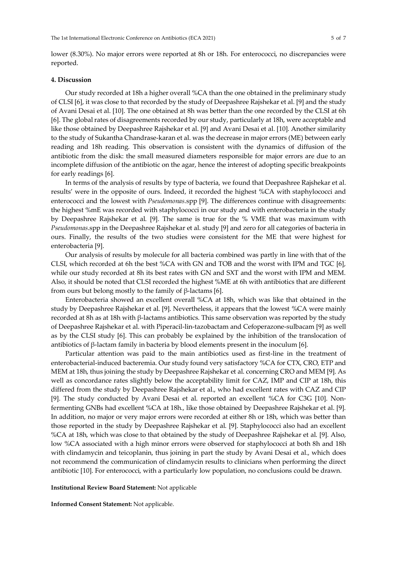lower (8.30%). No major errors were reported at 8h or 18h. For enterococci, no discrepancies were reported.

### **4. Discussion**

Our study recorded at 18h a higher overall %CA than the one obtained in the preliminary study of CLSI [6], it was close to that recorded by the study of Deepashree Rajshekar et al. [9] and the study of Avani Desai et al. [10]. The one obtained at 8h was better than the one recorded by the CLSI at 6h [6]. The globalrates of disagreements recorded by our study, particularly at 18h, were acceptable and like those obtained by Deepashree Rajshekar et al. [9] and Avani Desai et al. [10]. Another similarity to the study of Sukantha Chandrase-karan et al. was the decrease in major errors (ME) between early reading and 18h reading. This observation is consistent with the dynamics of diffusion of the antibiotic from the disk: the small measured diameters responsible for major errors are due to an incomplete diffusion of the antibiotic on the agar, hence the interest of adopting specific breakpoints for early readings [6].

In terms of the analysis of results by type of bacteria, we found that Deepashree Rajshekar et al. results' were in the opposite of ours. Indeed, it recorded the highest %CA with staphylococci and enterococci and the lowest with *Pseudomonas*.spp [9]. The differences continue with disagreements: the highest %mE was recorded with staphylococci in our study and with enterobacteria in the study by Deepashree Rajshekar et al. [9]. The same is true for the % VME that was maximum with *Pseudomonas*.spp in the Deepashree Rajshekar et al. study [9] and zero for all categories of bacteria in ours. Finally, the results of the two studies were consistent for the ME that were highest for enterobacteria [9].

Our analysis of results by molecule for all bacteria combined was partly in line with that of the CLSI, which recorded at 6h the best %CA with GN and TOB and the worst with IPM and TGC [6], while our study recorded at 8h its best rates with GN and SXT and the worst with IPM and MEM. Also, it should be noted that CLSI recorded the highest %ME at 6h with antibiotics that are different from ours but belong mostly to the family of β-lactams [6].

Enterobacteria showed an excellent overall %CA at 18h, which was like that obtained in the study by Deepashree Rajshekar et al. [9]. Nevertheless, it appears that the lowest %CA were mainly recorded at 8h as at 18h with β-lactams antibiotics. This same observation was reported by the study of Deepashree Rajshekar et al. with Piperacil-lin-tazobactam and Cefoperazone-sulbacam [9] as well as by the CLSI study [6]. This can probably be explained by the inhibition of the translocation of antibiotics of β-lactam family in bacteria by blood elements present in the inoculum [6].

Particular attention was paid to the main antibiotics used as first-line in the treatment of enterobacterial-induced bacteremia. Our study found very satisfactory %CA for CTX, CRO, ETP and MEM at 18h, thus joining the study by Deepashree Rajshekar et al. concerning CRO and MEM [9]. As well as concordance rates slightly below the acceptability limit for CAZ, IMP and CIP at 18h, this differed from the study by Deepashree Rajshekar et al., who had excellent rates with CAZ and CIP [9]. The study conducted by Avani Desai et al. reported an excellent %CA for C3G [10]. Nonfermenting GNBs had excellent %CA at 18h., like those obtained by Deepashree Rajshekar et al. [9]. In addition, no major or very major errors were recorded at either 8h or 18h, which was better than those reported in the study by Deepashree Rajshekar et al. [9]. Staphylococci also had an excellent %CA at 18h, which was close to that obtained by the study of Deepashree Rajshekar et al. [9]. Also, low %CA associated with a high minor errors were observed for staphylococci at both 8h and 18h with clindamycin and teicoplanin, thus joining in part the study by Avani Desai et al., which does not recommend the communication of clindamycin results to clinicians when performing the direct antibiotic [10]. For enterococci, with a particularly low population, no conclusions could be drawn.

#### **Institutional Review Board Statement:** Not applicable

**Informed Consent Statement:** Not applicable.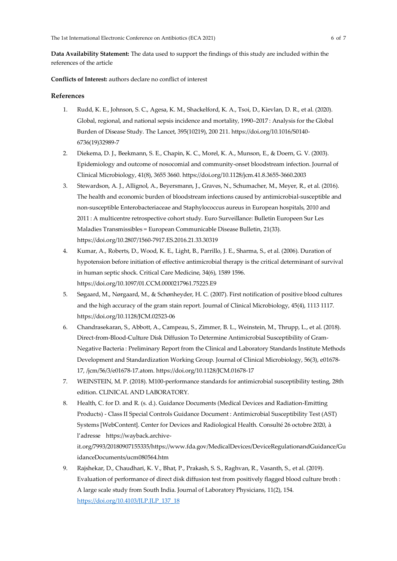**Data Availability Statement:** The data used to support the findings of this study are included within the references of the article

**Conflicts of Interest:** authors declare no conflict of interest

## **References**

- 1. Rudd, K. E., Johnson, S. C., Agesa, K. M., Shackelford, K. A., Tsoi, D., Kievlan, D. R., et al. (2020). Global, regional, and national sepsis incidence and mortality, 1990–2017 : Analysis for the Global Burden of Disease Study. The Lancet, 395(10219), 200 211. https://doi.org/10.1016/S0140- 6736(19)32989-7
- 2. Diekema, D. J., Beekmann, S. E., Chapin, K. C., Morel, K. A., Munson, E., & Doern, G. V. (2003). Epidemiology and outcome of nosocomial and community-onset bloodstream infection. Journal of Clinical Microbiology, 41(8), 3655 3660. https://doi.org/10.1128/jcm.41.8.3655-3660.2003
- 3. Stewardson, A. J., Allignol, A., Beyersmann, J., Graves, N., Schumacher, M., Meyer, R., et al. (2016). The health and economic burden of bloodstream infections caused by antimicrobial-susceptible and non-susceptible Enterobacteriaceae and Staphylococcus aureus in European hospitals, 2010 and 2011 : A multicentre retrospective cohort study. Euro Surveillance: Bulletin Europeen Sur Les Maladies Transmissibles = European Communicable Disease Bulletin, 21(33). https://doi.org/10.2807/1560-7917.ES.2016.21.33.30319
- 4. Kumar, A., Roberts, D., Wood, K. E., Light, B., Parrillo, J. E., Sharma, S., et al. (2006). Duration of hypotension before initiation of effective antimicrobial therapy is the critical determinant of survival in human septic shock. Critical Care Medicine, 34(6), 1589 1596. https://doi.org/10.1097/01.CCM.0000217961.75225.E9
- 5. Søgaard, M., Nørgaard, M., & Schønheyder, H. C. (2007). First notification of positive blood cultures and the high accuracy of the gram stain report. Journal of Clinical Microbiology, 45(4), 1113 1117. https://doi.org/10.1128/JCM.02523-06
- 6. Chandrasekaran, S., Abbott, A., Campeau, S., Zimmer, B. L., Weinstein, M., Thrupp, L., et al. (2018). Direct-from-Blood-Culture Disk Diffusion To Determine Antimicrobial Susceptibility of Gram-Negative Bacteria : Preliminary Report from the Clinical and Laboratory Standards Institute Methods Development and Standardization Working Group. Journal of Clinical Microbiology, 56(3), e01678- 17, /jcm/56/3/e01678-17.atom. https://doi.org/10.1128/JCM.01678-17
- 7. WEINSTEIN, M. P. (2018). M100-performance standards for antimicrobial susceptibility testing, 28th edition. CLINICAL AND LABORATORY.
- 8. Health, C. for D. and R. (s. d.). Guidance Documents (Medical Devices and Radiation-Emitting Products) - Class II Special Controls Guidance Document : Antimicrobial Susceptibility Test (AST) Systems [WebContent]. Center for Devices and Radiological Health. Consulté 26 octobre 2020, à l'adresse https://wayback.archiveit.org/7993/20180907155335/https://www.fda.gov/MedicalDevices/DeviceRegulationandGuidance/Gu idanceDocuments/ucm080564.htm
- 9. Rajshekar, D., Chaudhari, K. V., Bhat, P., Prakash, S. S., Raghvan, R., Vasanth, S., et al. (2019). Evaluation of performance of direct disk diffusion test from positively flagged blood culture broth : A large scale study from South India. Journal of Laboratory Physicians, 11(2), 154. [https://doi.org/10.4103/JLP.JLP\\_137\\_18](https://doi.org/10.4103/JLP.JLP_137_18)